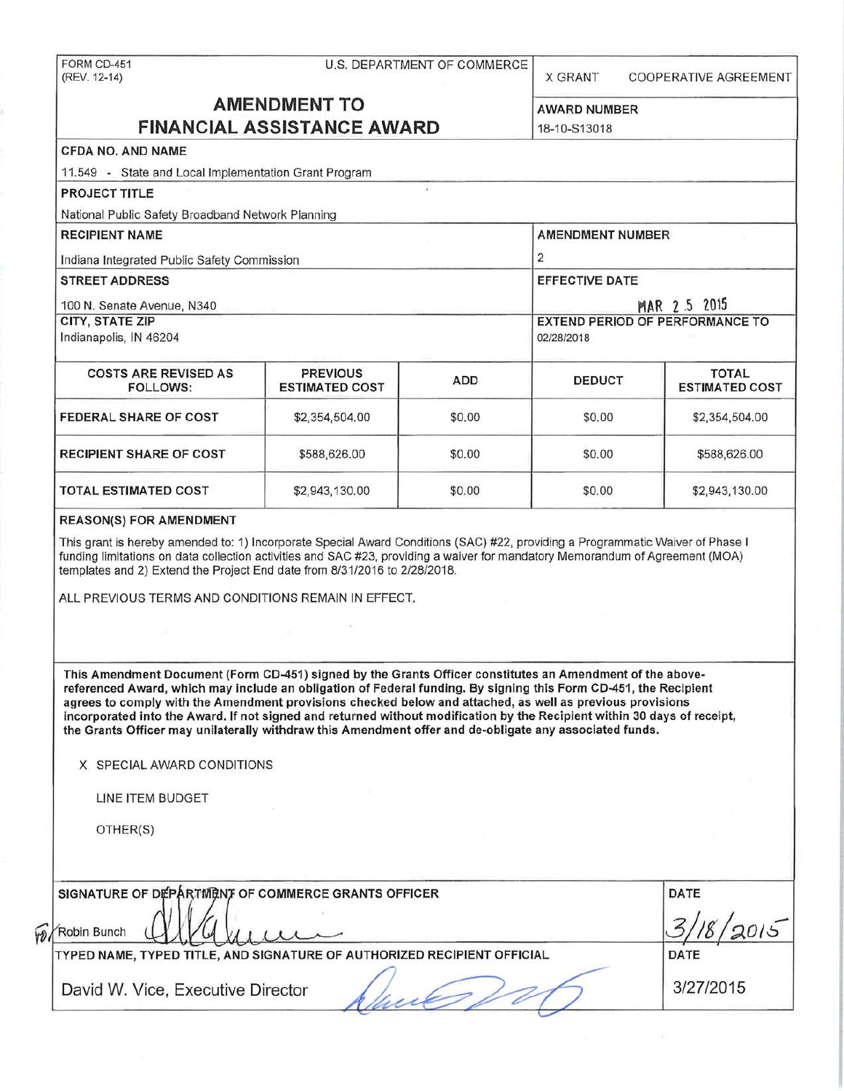| FORM CD-451<br>(REV. 12-14)                                                                                                                                                                                                                                                                                                                                                                                                                                                                                                                                                                                                                     |                                          | U.S. DEPARTMENT OF COMMERCE | <b>X GRANT</b>                                       | COOPERATIVE AGREEMENT                 |  |  |
|-------------------------------------------------------------------------------------------------------------------------------------------------------------------------------------------------------------------------------------------------------------------------------------------------------------------------------------------------------------------------------------------------------------------------------------------------------------------------------------------------------------------------------------------------------------------------------------------------------------------------------------------------|------------------------------------------|-----------------------------|------------------------------------------------------|---------------------------------------|--|--|
| <b>AMENDMENT TO</b><br><b>FINANCIAL ASSISTANCE AWARD</b>                                                                                                                                                                                                                                                                                                                                                                                                                                                                                                                                                                                        |                                          |                             | <b>AWARD NUMBER</b><br>18-10-S13018                  |                                       |  |  |
| <b>CFDA NO. AND NAME</b>                                                                                                                                                                                                                                                                                                                                                                                                                                                                                                                                                                                                                        |                                          |                             |                                                      |                                       |  |  |
| 11.549 - State and Local Implementation Grant Program                                                                                                                                                                                                                                                                                                                                                                                                                                                                                                                                                                                           |                                          |                             |                                                      |                                       |  |  |
| <b>PROJECT TITLE</b>                                                                                                                                                                                                                                                                                                                                                                                                                                                                                                                                                                                                                            |                                          |                             |                                                      |                                       |  |  |
| National Public Safety Broadband Network Planning                                                                                                                                                                                                                                                                                                                                                                                                                                                                                                                                                                                               |                                          |                             |                                                      |                                       |  |  |
| <b>RECIPIENT NAME</b>                                                                                                                                                                                                                                                                                                                                                                                                                                                                                                                                                                                                                           |                                          |                             | <b>AMENDMENT NUMBER</b>                              |                                       |  |  |
| Indiana Integrated Public Safety Commission                                                                                                                                                                                                                                                                                                                                                                                                                                                                                                                                                                                                     |                                          |                             | $\overline{2}$                                       |                                       |  |  |
| <b>STREET ADDRESS</b>                                                                                                                                                                                                                                                                                                                                                                                                                                                                                                                                                                                                                           |                                          |                             | <b>EFFECTIVE DATE</b>                                |                                       |  |  |
|                                                                                                                                                                                                                                                                                                                                                                                                                                                                                                                                                                                                                                                 |                                          |                             | MAR 2.5 2015                                         |                                       |  |  |
| 100 N. Senate Avenue, N340<br><b>CITY, STATE ZIP</b><br>Indianapolis, IN 46204                                                                                                                                                                                                                                                                                                                                                                                                                                                                                                                                                                  |                                          |                             | <b>EXTEND PERIOD OF PERFORMANCE TO</b><br>02/28/2018 |                                       |  |  |
| <b>COSTS ARE REVISED AS</b><br><b>FOLLOWS:</b>                                                                                                                                                                                                                                                                                                                                                                                                                                                                                                                                                                                                  | <b>PREVIOUS</b><br><b>ESTIMATED COST</b> | <b>ADD</b>                  | <b>DEDUCT</b>                                        | <b>TOTAL</b><br><b>ESTIMATED COST</b> |  |  |
| <b>FEDERAL SHARE OF COST</b>                                                                                                                                                                                                                                                                                                                                                                                                                                                                                                                                                                                                                    | \$2,354,504.00                           | \$0.00                      | \$0.00                                               | \$2,354,504.00                        |  |  |
| <b>RECIPIENT SHARE OF COST</b>                                                                                                                                                                                                                                                                                                                                                                                                                                                                                                                                                                                                                  | \$588,626.00                             | \$0.00                      | \$0.00                                               | \$588,626.00                          |  |  |
| <b>TOTAL ESTIMATED COST</b>                                                                                                                                                                                                                                                                                                                                                                                                                                                                                                                                                                                                                     | \$2,943,130.00                           | \$0.00                      | \$0.00                                               | \$2,943,130.00                        |  |  |
| templates and 2) Extend the Project End date from 8/31/2016 to 2/28/2018.<br>ALL PREVIOUS TERMS AND CONDITIONS REMAIN IN EFFECT.                                                                                                                                                                                                                                                                                                                                                                                                                                                                                                                |                                          |                             |                                                      |                                       |  |  |
| This Amendment Document (Form CD-451) signed by the Grants Officer constitutes an Amendment of the above-<br>referenced Award, which may include an obligation of Federal funding. By signing this Form CD-451, the Recipient<br>agrees to comply with the Amendment provisions checked below and attached, as well as previous provisions<br>incorporated into the Award. If not signed and returned without modification by the Recipient within 30 days of receipt,<br>the Grants Officer may unilaterally withdraw this Amendment offer and de-obligate any associated funds.<br>X SPECIAL AWARD CONDITIONS<br>LINE ITEM BUDGET<br>OTHER(S) |                                          |                             |                                                      |                                       |  |  |
| SIGNATURE OF DEPARTMENT OF COMMERCE GRANTS OFFICER<br>Robin Bunch                                                                                                                                                                                                                                                                                                                                                                                                                                                                                                                                                                               |                                          |                             |                                                      | DATE                                  |  |  |
| TYPED NAME, TYPED TITLE, AND SIGNATURE OF AUTHORIZED RECIPIENT OFFICIAL                                                                                                                                                                                                                                                                                                                                                                                                                                                                                                                                                                         |                                          |                             |                                                      | <b>DATE</b>                           |  |  |
| David W. Vice, Executive Director                                                                                                                                                                                                                                                                                                                                                                                                                                                                                                                                                                                                               |                                          |                             |                                                      | 3/27/2015                             |  |  |